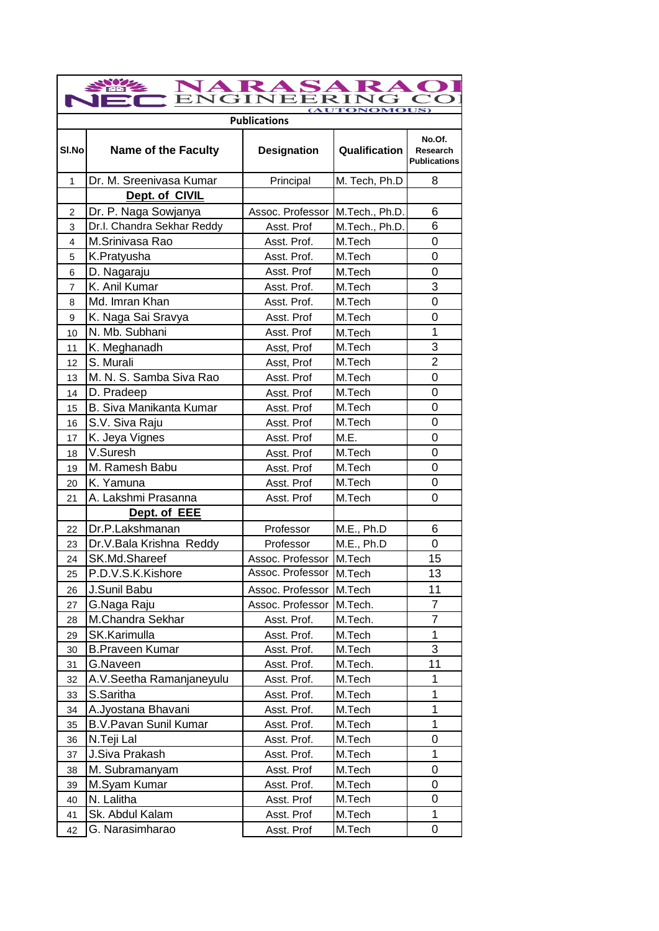| NARASARA<br><b>TONOMOUS)</b> |                              |                     |                |                                           |
|------------------------------|------------------------------|---------------------|----------------|-------------------------------------------|
|                              |                              | <b>Publications</b> |                |                                           |
| SI.No                        | <b>Name of the Faculty</b>   | <b>Designation</b>  | Qualification  | No.Of.<br>Research<br><b>Publications</b> |
| $\mathbf{1}$                 | Dr. M. Sreenivasa Kumar      | Principal           | M. Tech, Ph.D  | 8                                         |
|                              | Dept. of CIVIL               |                     |                |                                           |
| 2                            | Dr. P. Naga Sowjanya         | Assoc. Professor    | M.Tech., Ph.D. | 6                                         |
| 3                            | Dr.I. Chandra Sekhar Reddy   | Asst. Prof          | M.Tech., Ph.D. | 6                                         |
| 4                            | M.Srinivasa Rao              | Asst. Prof.         | M.Tech         | 0                                         |
| 5                            | K.Pratyusha                  | Asst. Prof.         | M.Tech         | 0                                         |
| 6                            | D. Nagaraju                  | Asst. Prof          | M.Tech         | 0                                         |
| $\overline{7}$               | K. Anil Kumar                | Asst. Prof.         | M.Tech         | 3                                         |
| 8                            | Md. Imran Khan               | Asst. Prof.         | M.Tech         | 0                                         |
| 9                            | K. Naga Sai Sravya           | Asst. Prof          | M.Tech         | $\overline{0}$                            |
| 10                           | N. Mb. Subhani               | Asst. Prof          | M.Tech         | 1                                         |
| 11                           | K. Meghanadh                 | Asst, Prof          | M.Tech         | 3                                         |
| 12                           | S. Murali                    | Asst, Prof          | M.Tech         | $\overline{2}$                            |
| 13                           | M. N. S. Samba Siva Rao      | Asst. Prof          | M.Tech         | 0                                         |
| 14                           | D. Pradeep                   | Asst. Prof          | M.Tech         | 0                                         |
| 15                           | B. Siva Manikanta Kumar      | Asst. Prof          | M.Tech         | 0                                         |
| 16                           | S.V. Siva Raju               | Asst. Prof          | M.Tech         | 0                                         |
| 17                           | K. Jeya Vignes               | Asst. Prof          | M.E.           | 0                                         |
| 18                           | V.Suresh                     | Asst. Prof          | M.Tech         | 0                                         |
| 19                           | M. Ramesh Babu               | Asst. Prof          | M.Tech         | 0                                         |
| 20                           | K. Yamuna                    | Asst. Prof          | M.Tech         | 0                                         |
| 21                           | A. Lakshmi Prasanna          | Asst. Prof          | M.Tech         | 0                                         |
|                              | Dept. of EEE                 |                     |                |                                           |
| 22                           | Dr.P.Lakshmanan              | Professor           | M.E., Ph.D     | 6                                         |
| 23                           | Dr.V. Bala Krishna Reddy     | Professor           | M.E., Ph.D     | 0                                         |
| 24                           | SK.Md.Shareef                | Assoc. Professor    | M.Tech         | 15                                        |
| 25                           | P.D.V.S.K.Kishore            | Assoc. Professor    | M.Tech         | 13                                        |
| 26                           | J.Sunil Babu                 | Assoc. Professor    | M.Tech         | 11                                        |
| 27                           | G.Naga Raju                  | Assoc. Professor    | M.Tech.        | 7                                         |
| 28                           | M.Chandra Sekhar             | Asst. Prof.         | M.Tech.        | 7                                         |
| 29                           | SK.Karimulla                 | Asst. Prof.         | M.Tech         | 1                                         |
| 30                           | <b>B.Praveen Kumar</b>       | Asst. Prof.         | M.Tech         | 3                                         |
| 31                           | G.Naveen                     | Asst. Prof.         | M.Tech.        | 11                                        |
| 32                           | A.V. Seetha Ramanjaneyulu    | Asst. Prof.         | M.Tech         | 1                                         |
| 33                           | S.Saritha                    | Asst. Prof.         | M.Tech         | 1                                         |
| 34                           | A.Jyostana Bhavani           | Asst. Prof.         | M.Tech         | 1                                         |
| 35                           | <b>B.V.Pavan Sunil Kumar</b> | Asst. Prof.         | M.Tech         | 1                                         |
| 36                           | N.Teji Lal                   | Asst. Prof.         | M.Tech         | 0                                         |
| 37                           | J.Siva Prakash               | Asst. Prof.         | M.Tech         | 1                                         |
| 38                           | M. Subramanyam               | Asst. Prof          | M.Tech         | 0                                         |
| 39                           | M.Syam Kumar                 | Asst. Prof.         | M.Tech         | 0                                         |
| 40                           | N. Lalitha                   | Asst. Prof          | M.Tech         | 0                                         |
| 41                           | Sk. Abdul Kalam              | Asst. Prof          | M.Tech         | 1                                         |
| 42                           | G. Narasimharao              | Asst. Prof          | M.Tech         | 0                                         |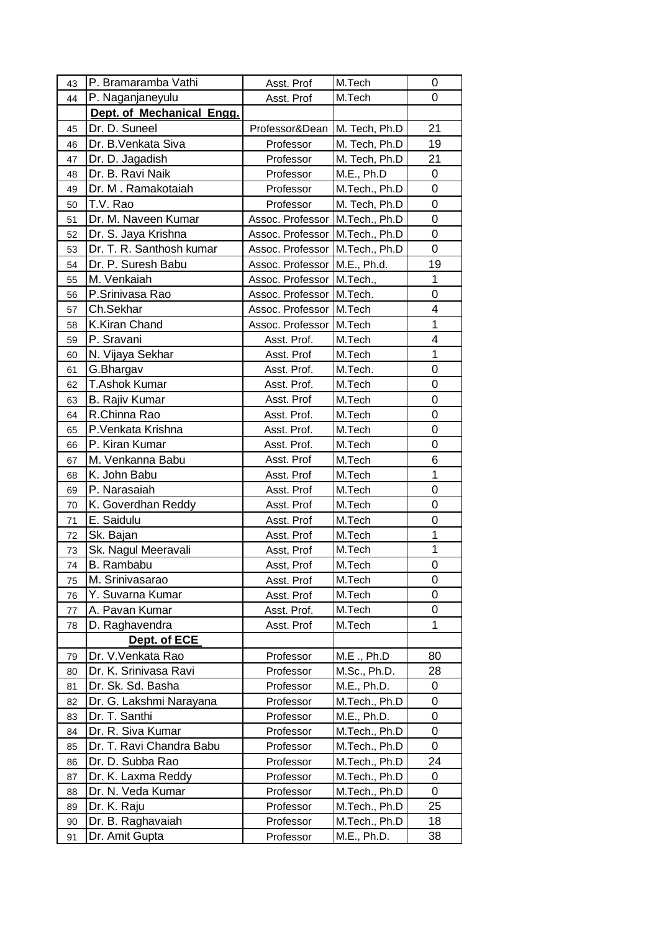| 43       | P. Bramaramba Vathi       | Asst. Prof                | M.Tech        | 0                |
|----------|---------------------------|---------------------------|---------------|------------------|
| 44       | P. Naganjaneyulu          | Asst. Prof                | M.Tech        | 0                |
|          | Dept. of Mechanical Engg. |                           |               |                  |
| 45       | Dr. D. Suneel             | Professor&Dean            | M. Tech, Ph.D | 21               |
| 46       | Dr. B. Venkata Siva       | Professor                 | M. Tech, Ph.D | 19               |
| 47       | Dr. D. Jagadish           | Professor                 | M. Tech, Ph.D | 21               |
| 48       | Dr. B. Ravi Naik          | Professor                 | M.E., Ph.D    | $\boldsymbol{0}$ |
| 49       | Dr. M. Ramakotaiah        | Professor                 | M.Tech., Ph.D | 0                |
| 50       | T.V. Rao                  | Professor                 | M. Tech, Ph.D | 0                |
| 51       | Dr. M. Naveen Kumar       | Assoc. Professor          | M.Tech., Ph.D | 0                |
| 52       | Dr. S. Jaya Krishna       | Assoc. Professor          | M.Tech., Ph.D | 0                |
| 53       | Dr. T. R. Santhosh kumar  | Assoc. Professor          | M.Tech., Ph.D | 0                |
| 54       | Dr. P. Suresh Babu        | Assoc. Professor          | M.E., Ph.d.   | 19               |
| 55       | M. Venkaiah               | Assoc. Professor          | M.Tech.,      | 1                |
| 56       | P.Srinivasa Rao           | Assoc. Professor          | M.Tech.       | 0                |
| 57       | Ch.Sekhar                 | Assoc. Professor   M.Tech |               | 4                |
| 58       | K.Kiran Chand             | Assoc. Professor          | M.Tech        | 1                |
| 59       | P. Sravani                | Asst. Prof.               | M.Tech        | 4                |
| 60       | N. Vijaya Sekhar          | Asst. Prof                | M.Tech        | $\mathbf 1$      |
| 61       | G.Bhargav                 | Asst. Prof.               | M.Tech.       | 0                |
| 62       | <b>T.Ashok Kumar</b>      | Asst. Prof.               | M.Tech        | 0                |
| 63       | <b>B. Rajiv Kumar</b>     | Asst. Prof                | M.Tech        | 0                |
| 64       | R.Chinna Rao              | Asst. Prof.               | M.Tech        | 0                |
| 65       | P. Venkata Krishna        | Asst. Prof.               | M.Tech        | 0                |
| 66       | P. Kiran Kumar            | Asst. Prof.               | M.Tech        | 0                |
| 67       | M. Venkanna Babu          | Asst. Prof                | M.Tech        | 6                |
| 68       | K. John Babu              | Asst. Prof                | M.Tech        | 1                |
| 69       | P. Narasaiah              | Asst. Prof                | M.Tech        | 0                |
| 70       | K. Goverdhan Reddy        | Asst. Prof                | M.Tech        | 0                |
| 71       | E. Saidulu                | Asst. Prof                | M.Tech        | 0                |
| 72       | Sk. Bajan                 | Asst. Prof                | M.Tech        | 1                |
| 73       | Sk. Nagul Meeravali       | Asst, Prof                | M.Tech        | 1                |
| 74       | B. Rambabu                | Asst, Prof                | M.Tech        | 0                |
| 75       | M. Srinivasarao           | Asst. Prof                | M.Tech        | 0                |
| 76       | Y. Suvarna Kumar          | Asst. Prof                | M.Tech        | 0                |
| 77       | A. Pavan Kumar            | Asst. Prof.               | M.Tech        | 0                |
| 78       | D. Raghavendra            | Asst. Prof                | M.Tech        | 1                |
|          | Dept. of ECE              |                           |               |                  |
| 79       | Dr. V. Venkata Rao        | Professor                 | M.E., Ph.D    | 80               |
| 80       | Dr. K. Srinivasa Ravi     | Professor                 | M.Sc., Ph.D.  | 28               |
| 81       | Dr. Sk. Sd. Basha         | Professor                 | M.E., Ph.D.   | 0                |
| 82       | Dr. G. Lakshmi Narayana   | Professor                 | M.Tech., Ph.D | 0                |
| 83       | Dr. T. Santhi             | Professor                 | M.E., Ph.D.   | 0                |
|          | Dr. R. Siva Kumar         | Professor                 | M.Tech., Ph.D | 0                |
| 84<br>85 | Dr. T. Ravi Chandra Babu  | Professor                 | M.Tech., Ph.D | 0                |
|          | Dr. D. Subba Rao          | Professor                 | M.Tech., Ph.D | 24               |
| 86       | Dr. K. Laxma Reddy        | Professor                 | M.Tech., Ph.D | 0                |
| 87       | Dr. N. Veda Kumar         | Professor                 | M.Tech., Ph.D | 0                |
| 88<br>89 | Dr. K. Raju               | Professor                 | M.Tech., Ph.D | 25               |
|          | Dr. B. Raghavaiah         | Professor                 | M.Tech., Ph.D | 18               |
| 90       | Dr. Amit Gupta            | Professor                 | M.E., Ph.D.   | 38               |
| 91       |                           |                           |               |                  |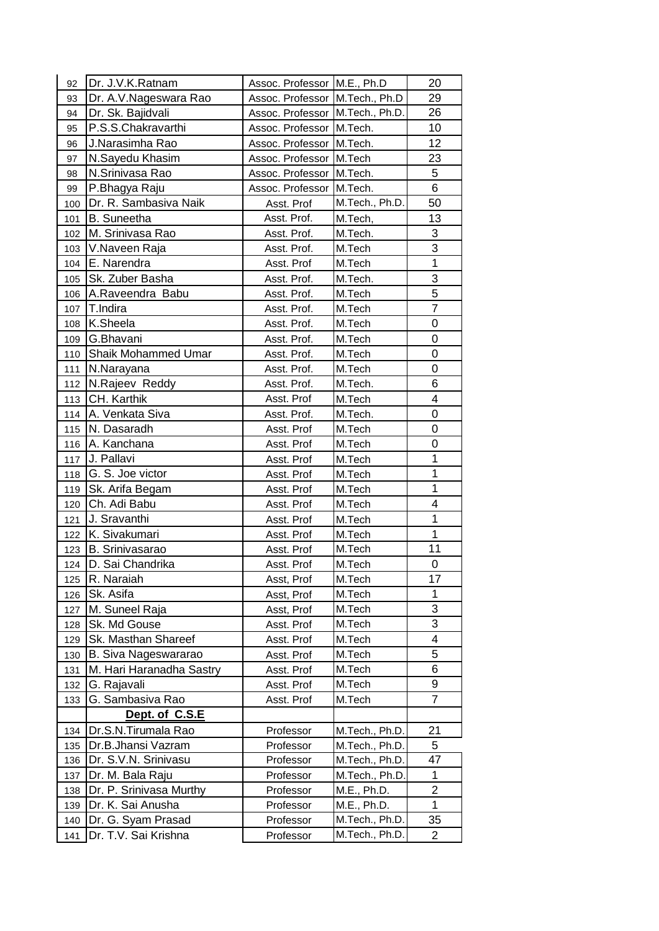| 92  | Dr. J.V.K.Ratnam            | Assoc. Professor   M.E., Ph.D     |                | 20                       |
|-----|-----------------------------|-----------------------------------|----------------|--------------------------|
| 93  | Dr. A.V. Nageswara Rao      | Assoc. Professor M.Tech., Ph.D    |                | 29                       |
| 94  | Dr. Sk. Bajidvali           | Assoc. Professor   M.Tech., Ph.D. |                | 26                       |
| 95  | P.S.S.Chakravarthi          | Assoc. Professor M.Tech.          |                | 10                       |
| 96  | J.Narasimha Rao             | Assoc. Professor M.Tech.          |                | 12                       |
| 97  | N.Sayedu Khasim             | Assoc. Professor M.Tech           |                | 23                       |
| 98  | N.Srinivasa Rao             | Assoc. Professor M.Tech.          |                | 5                        |
| 99  | P.Bhagya Raju               | Assoc. Professor M.Tech.          |                | $6\phantom{1}$           |
| 100 | Dr. R. Sambasiva Naik       | Asst. Prof                        | M.Tech., Ph.D. | 50                       |
| 101 | <b>B.</b> Suneetha          | Asst. Prof.                       | M.Tech,        | 13                       |
| 102 | M. Srinivasa Rao            | Asst. Prof.                       | M.Tech.        | 3                        |
| 103 | V.Naveen Raja               | Asst. Prof.                       | M.Tech         | $\overline{3}$           |
| 104 | E. Narendra                 | Asst. Prof                        | M.Tech         | 1                        |
| 105 | Sk. Zuber Basha             | Asst. Prof.                       | M.Tech.        | 3                        |
| 106 | A.Raveendra Babu            | Asst. Prof.                       | M.Tech         | 5                        |
| 107 | T.Indira                    | Asst. Prof.                       | M.Tech         | 7                        |
| 108 | K.Sheela                    | Asst. Prof.                       | M.Tech         | 0                        |
| 109 | G.Bhavani                   | Asst. Prof.                       | M.Tech         | 0                        |
| 110 | <b>Shaik Mohammed Umar</b>  | Asst. Prof.                       | M.Tech         | 0                        |
| 111 | N.Narayana                  | Asst. Prof.                       | M.Tech         | 0                        |
| 112 | N.Rajeev Reddy              | Asst. Prof.                       | M.Tech.        | 6                        |
| 113 | CH. Karthik                 | Asst. Prof                        | M.Tech         | 4                        |
| 114 | A. Venkata Siva             | Asst. Prof.                       | M.Tech.        | $\mathbf 0$              |
| 115 | N. Dasaradh                 | Asst. Prof                        | M.Tech         | 0                        |
| 116 | A. Kanchana                 | Asst. Prof                        | M.Tech         | 0                        |
| 117 | J. Pallavi                  | Asst. Prof                        | M.Tech         | 1                        |
| 118 | G. S. Joe victor            | Asst. Prof                        | M.Tech         | $\mathbf 1$              |
| 119 | Sk. Arifa Begam             | Asst. Prof                        | M.Tech         | $\mathbf 1$              |
| 120 | Ch. Adi Babu                | Asst. Prof                        | M.Tech         | 4                        |
| 121 | J. Sravanthi                | Asst. Prof                        | M.Tech         | $\mathbf{1}$             |
| 122 | K. Sivakumari               | Asst. Prof                        | M.Tech         | $\mathbf{1}$             |
| 123 | B. Srinivasarao             | Asst. Prof                        | M.Tech         | 11                       |
| 124 | D. Sai Chandrika            | Asst. Prof                        | M.Tech         | 0                        |
| 125 | R. Naraiah                  | Asst, Prof                        | M.Tech         | 17                       |
| 126 | Sk. Asifa                   | Asst, Prof                        | M.Tech         | 1                        |
| 127 | M. Suneel Raja              | Asst, Prof                        | M.Tech         | 3                        |
| 128 | Sk. Md Gouse                | Asst. Prof                        | M.Tech         | 3                        |
| 129 | Sk. Masthan Shareef         | Asst. Prof                        | M.Tech         | $\overline{\mathcal{A}}$ |
| 130 | <b>B. Siva Nageswararao</b> | Asst. Prof                        | M.Tech         | 5                        |
| 131 | M. Hari Haranadha Sastry    | Asst. Prof                        | M.Tech         | 6                        |
| 132 | G. Rajavali                 | Asst. Prof                        | M.Tech         | 9                        |
| 133 | G. Sambasiva Rao            | Asst. Prof                        | M.Tech         | 7                        |
|     | Dept. of C.S.E              |                                   |                |                          |
| 134 | Dr.S.N.Tirumala Rao         | Professor                         | M.Tech., Ph.D. | 21                       |
| 135 | Dr.B.Jhansi Vazram          | Professor                         | M.Tech., Ph.D. | 5                        |
| 136 | Dr. S.V.N. Srinivasu        | Professor                         | M.Tech., Ph.D. | 47                       |
| 137 | Dr. M. Bala Raju            | Professor                         | M.Tech., Ph.D. | $\mathbf 1$              |
| 138 | Dr. P. Srinivasa Murthy     | Professor                         | M.E., Ph.D.    | $\overline{2}$           |
| 139 | Dr. K. Sai Anusha           | Professor                         | M.E., Ph.D.    | $\mathbf{1}$             |
| 140 | Dr. G. Syam Prasad          | Professor                         | M.Tech., Ph.D. | 35                       |
| 141 | Dr. T.V. Sai Krishna        | Professor                         | M.Tech., Ph.D. | $\overline{2}$           |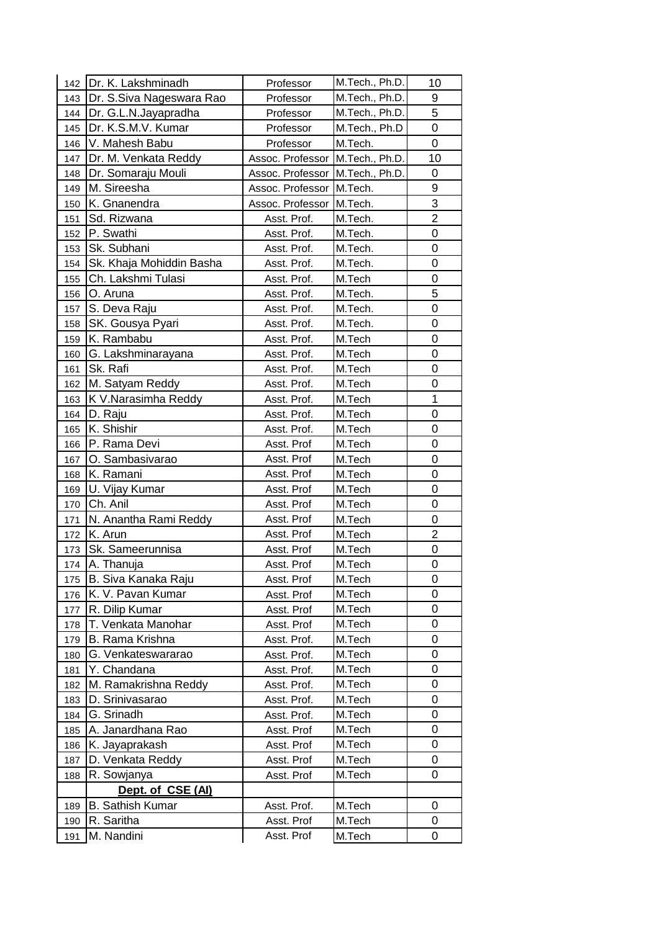| 142 | Dr. K. Lakshminadh       | Professor                       | M.Tech., Ph.D. | 10             |
|-----|--------------------------|---------------------------------|----------------|----------------|
| 143 | Dr. S.Siva Nageswara Rao | Professor                       | M.Tech., Ph.D. | 9              |
| 144 | Dr. G.L.N.Jayapradha     | Professor                       | M.Tech., Ph.D. | 5              |
| 145 | Dr. K.S.M.V. Kumar       | Professor                       | M.Tech., Ph.D  | 0              |
| 146 | V. Mahesh Babu           | Professor                       | M.Tech.        | 0              |
| 147 | Dr. M. Venkata Reddy     | Assoc. Professor M.Tech., Ph.D. |                | 10             |
| 148 | Dr. Somaraju Mouli       | Assoc. Professor                | M.Tech., Ph.D. | 0              |
| 149 | M. Sireesha              | Assoc. Professor                | M.Tech.        | 9              |
| 150 | K. Gnanendra             | Assoc. Professor                | M.Tech.        | 3              |
| 151 | Sd. Rizwana              | Asst. Prof.                     | M.Tech.        | $\overline{2}$ |
| 152 | P. Swathi                | Asst. Prof.                     | M.Tech.        | 0              |
| 153 | Sk. Subhani              | Asst. Prof.                     | M.Tech.        | 0              |
| 154 | Sk. Khaja Mohiddin Basha | Asst. Prof.                     | M.Tech.        | 0              |
| 155 | Ch. Lakshmi Tulasi       | Asst. Prof.                     | M.Tech         | 0              |
| 156 | O. Aruna                 | Asst. Prof.                     | M.Tech.        | 5              |
| 157 | S. Deva Raju             | Asst. Prof.                     | M.Tech.        | 0              |
| 158 | SK. Gousya Pyari         | Asst. Prof.                     | M.Tech.        | 0              |
| 159 | K. Rambabu               | Asst. Prof.                     | M.Tech         | 0              |
| 160 | G. Lakshminarayana       | Asst. Prof.                     | M.Tech         | $\mathbf 0$    |
| 161 | Sk. Rafi                 | Asst. Prof.                     | M.Tech         | 0              |
| 162 | M. Satyam Reddy          | Asst. Prof.                     | M.Tech         | 0              |
| 163 | K V.Narasimha Reddy      | Asst. Prof.                     | M.Tech         | 1              |
| 164 | D. Raju                  | Asst. Prof.                     | M.Tech         | 0              |
| 165 | K. Shishir               | Asst. Prof.                     | M.Tech         | 0              |
| 166 | P. Rama Devi             | Asst. Prof                      | M.Tech         | 0              |
| 167 | O. Sambasivarao          | Asst. Prof                      | M.Tech         | 0              |
| 168 | K. Ramani                | Asst. Prof                      | M.Tech         | 0              |
| 169 | U. Vijay Kumar           | Asst. Prof                      | M.Tech         | 0              |
| 170 | Ch. Anil                 | Asst. Prof                      | M.Tech         | 0              |
| 171 | N. Anantha Rami Reddy    | Asst. Prof                      | M.Tech         | 0              |
| 172 | K. Arun                  | Asst. Prof                      | M.Tech         | $\overline{2}$ |
| 173 | Sk. Sameerunnisa         | Asst. Prof                      | M.Tech         | 0              |
| 174 | A. Thanuja               | Asst. Prof                      | M.Tech         | 0              |
| 175 | B. Siva Kanaka Raju      | Asst. Prof                      | M.Tech         | 0              |
| 176 | K. V. Pavan Kumar        | Asst. Prof                      | M.Tech         | 0              |
| 177 | R. Dilip Kumar           | Asst. Prof                      | M.Tech         | 0              |
| 178 | T. Venkata Manohar       | Asst. Prof                      | M.Tech         | 0              |
| 179 | <b>B. Rama Krishna</b>   | Asst. Prof.                     | M.Tech         | 0              |
| 180 | G. Venkateswararao       | Asst. Prof.                     | M.Tech         | 0              |
| 181 | Y. Chandana              | Asst. Prof.                     | M.Tech         | 0              |
| 182 | M. Ramakrishna Reddy     | Asst. Prof.                     | M.Tech         | 0              |
| 183 | D. Srinivasarao          | Asst. Prof.                     | M.Tech         | 0              |
| 184 | G. Srinadh               | Asst. Prof.                     | M.Tech         | 0              |
| 185 | A. Janardhana Rao        | Asst. Prof                      | M.Tech         | 0              |
| 186 | K. Jayaprakash           | Asst. Prof                      | M.Tech         | 0              |
| 187 | D. Venkata Reddy         | Asst. Prof                      | M.Tech         | 0              |
| 188 | R. Sowjanya              | Asst. Prof                      | M.Tech         | 0              |
|     | Dept. of CSE (AI)        |                                 |                |                |
| 189 | <b>B. Sathish Kumar</b>  | Asst. Prof.                     | M.Tech         | 0              |
| 190 | R. Saritha               | Asst. Prof                      | M.Tech         | 0              |
| 191 | M. Nandini               | Asst. Prof                      | M.Tech         | 0              |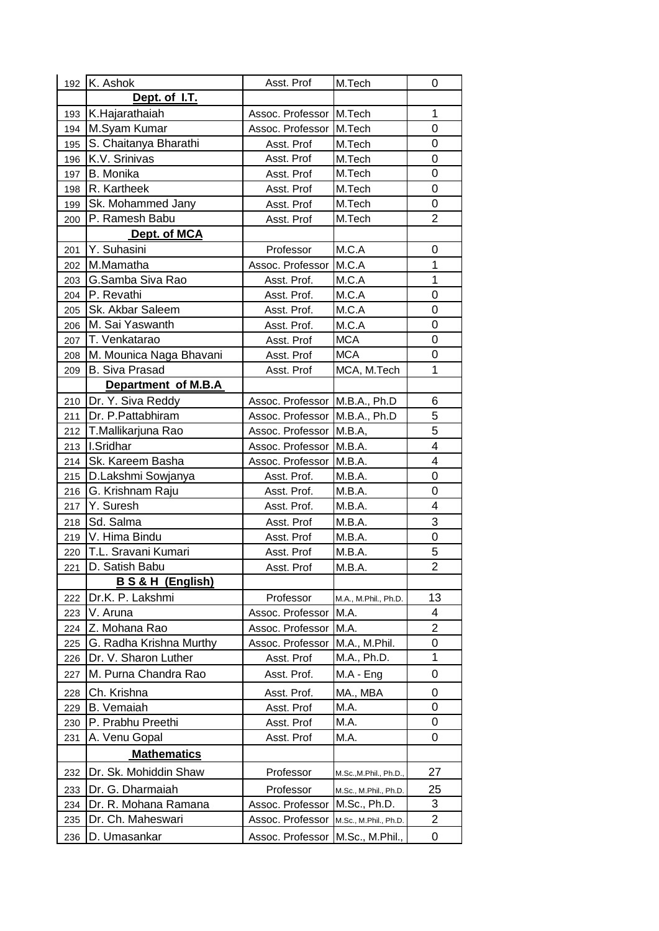| 192 | K. Ashok                  | Asst. Prof                    | M.Tech                 | 0                       |
|-----|---------------------------|-------------------------------|------------------------|-------------------------|
|     | Dept. of I.T.             |                               |                        |                         |
| 193 | K.Hajarathaiah            | Assoc. Professor              | M.Tech                 | $\mathbf{1}$            |
| 194 | M.Syam Kumar              | Assoc. Professor              | M.Tech                 | 0                       |
| 195 | S. Chaitanya Bharathi     | Asst. Prof                    | M.Tech                 | 0                       |
| 196 | K.V. Srinivas             | Asst. Prof                    | M.Tech                 | 0                       |
| 197 | B. Monika                 | Asst. Prof                    | M.Tech                 | 0                       |
| 198 | R. Kartheek               | Asst. Prof                    | M.Tech                 | 0                       |
| 199 | Sk. Mohammed Jany         | Asst. Prof                    | M.Tech                 | 0                       |
| 200 | P. Ramesh Babu            | Asst. Prof                    | M.Tech                 | $\overline{2}$          |
|     | Dept. of MCA              |                               |                        |                         |
| 201 | Y. Suhasini               | Professor                     | M.C.A                  | $\mathbf 0$             |
| 202 | M.Mamatha                 | Assoc. Professor              | M.C.A                  | 1                       |
| 203 | G.Samba Siva Rao          | Asst. Prof.                   | M.C.A                  | 1                       |
| 204 | P. Revathi                | Asst. Prof.                   | M.C.A                  | 0                       |
| 205 | Sk. Akbar Saleem          | Asst. Prof.                   | M.C.A                  | 0                       |
| 206 | M. Sai Yaswanth           | Asst. Prof.                   | M.C.A                  | 0                       |
| 207 | T. Venkatarao             | Asst. Prof                    | <b>MCA</b>             | 0                       |
| 208 | M. Mounica Naga Bhavani   | Asst. Prof                    | <b>MCA</b>             | 0                       |
| 209 | <b>B.</b> Siva Prasad     | Asst. Prof                    | MCA, M.Tech            | 1                       |
|     | Department of M.B.A       |                               |                        |                         |
| 210 | Dr. Y. Siva Reddy         | Assoc. Professor              | M.B.A., Ph.D           | 6                       |
| 211 | Dr. P. Pattabhiram        | Assoc. Professor M.B.A., Ph.D |                        | 5                       |
| 212 | T.Mallikarjuna Rao        | Assoc. Professor              | M.B.A,                 | 5                       |
| 213 | I.Sridhar                 | Assoc. Professor              | M.B.A.                 | $\overline{\mathbf{4}}$ |
| 214 | Sk. Kareem Basha          | Assoc. Professor              | M.B.A.                 | 4                       |
| 215 | D.Lakshmi Sowjanya        | Asst. Prof.                   | M.B.A.                 | 0                       |
| 216 | G. Krishnam Raju          | Asst. Prof.                   | M.B.A.                 | 0                       |
| 217 | Y. Suresh                 | Asst. Prof.                   | M.B.A.                 | 4                       |
| 218 | Sd. Salma                 | Asst. Prof                    | M.B.A.                 | 3                       |
| 219 | V. Hima Bindu             | Asst. Prof                    | M.B.A.                 | 0                       |
| 220 | T.L. Sravani Kumari       | Asst. Prof                    | M.B.A.                 | 5                       |
| 221 | D. Satish Babu            | Asst. Prof                    | M.B.A.                 | $\overline{2}$          |
|     | <b>BS&amp;H</b> (English) |                               |                        |                         |
| 222 | Dr.K. P. Lakshmi          | Professor                     | M.A., M.Phil., Ph.D.   | 13                      |
| 223 | V. Aruna                  | Assoc. Professor              | M.A.                   | 4                       |
| 224 | Z. Mohana Rao             | Assoc. Professor              | M.A.                   | 2                       |
| 225 | G. Radha Krishna Murthy   | Assoc. Professor              | M.A., M.Phil.          | 0                       |
| 226 | Dr. V. Sharon Luther      | Asst. Prof                    | M.A., Ph.D.            | 1                       |
| 227 | M. Purna Chandra Rao      | Asst. Prof.                   | $MA - Eng$             | 0                       |
| 228 | Ch. Krishna               | Asst. Prof.                   | MA., MBA               | 0                       |
| 229 | <b>B.</b> Vemaiah         | Asst. Prof                    | M.A.                   | 0                       |
| 230 | P. Prabhu Preethi         | Asst. Prof                    | M.A.                   | 0                       |
| 231 | A. Venu Gopal             | Asst. Prof                    | M.A.                   | 0                       |
|     | <b>Mathematics</b>        |                               |                        |                         |
|     |                           |                               |                        |                         |
| 232 | Dr. Sk. Mohiddin Shaw     | Professor                     | M.Sc., M.Phil., Ph.D., | 27                      |
| 233 | Dr. G. Dharmaiah          | Professor                     | M.Sc., M.Phil., Ph.D.  | 25                      |
| 234 | Dr. R. Mohana Ramana      | Assoc. Professor              | M.Sc., Ph.D.           | 3                       |
| 235 | Dr. Ch. Maheswari         | Assoc. Professor              | M.Sc., M.Phil., Ph.D.  | $\overline{\mathbf{c}}$ |
| 236 | D. Umasankar              | Assoc. Professor              | M.Sc., M.Phil.,        | 0                       |